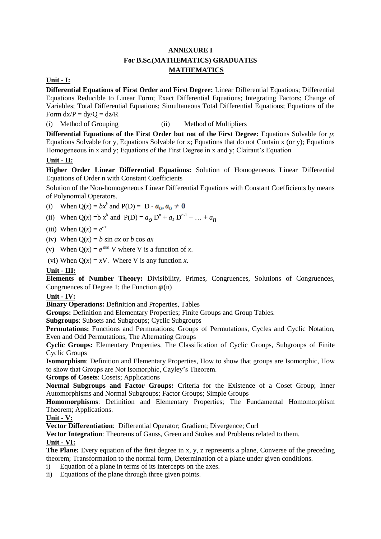## **ANNEXURE I For B.Sc.(MATHEMATICS) GRADUATES MATHEMATICS**

#### **Unit - I:**

**Differential Equations of First Order and First Degree:** Linear Differential Equations; Differential Equations Reducible to Linear Form; Exact Differential Equations; Integrating Factors; Change of Variables; Total Differential Equations; Simultaneous Total Differential Equations; Equations of the Form  $dx/P = dy/Q = dz/R$ 

(i) Method of Grouping (ii) Method of Multipliers

**Differential Equations of the First Order but not of the First Degree:** Equations Solvable for *p*; Equations Solvable for y, Equations Solvable for x; Equations that do not Contain x (or y); Equations Homogeneous in x and y; Equations of the First Degree in x and y; Clairaut's Equation

#### **Unit - II:**

**Higher Order Linear Differential Equations:** Solution of Homogeneous Linear Differential Equations of Order n with Constant Coefficients

Solution of the Non-homogeneous Linear Differential Equations with Constant Coefficients by means of Polynomial Operators.

- (i) When  $Q(x) = bx^k$  and  $P(D) = D -$
- (ii) When Q(*x*) = b x<sup>k</sup> and P(D) =  $a_0 D^n + a_1 D^{n-1} + ... + a_n$
- (iii) When  $Q(x) = e^{ax}$
- (iv) When  $Q(x) = b \sin ax$  or *b* cos *ax*
- (v) When  $Q(x) = e^{ax} V$  where V is a function of *x*.
- (vi) When  $Q(x) = xV$ . Where V is any function *x*.

**Unit - III:**

**Elements of Number Theory:** Divisibility, Primes, Congruences, Solutions of Congruences, Congruences of Degree 1; the Function  $\varphi$ (n)

**Unit - IV:**

**Binary Operations:** Definition and Properties, Tables

**Groups:** Definition and Elementary Properties; Finite Groups and Group Tables.

**Subgroups**: Subsets and Subgroups; Cyclic Subgroups

**Permutations:** Functions and Permutations; Groups of Permutations, Cycles and Cyclic Notation, Even and Odd Permutations, The Alternating Groups

**Cyclic Groups:** Elementary Properties, The Classification of Cyclic Groups, Subgroups of Finite Cyclic Groups

**Isomorphism**: Definition and Elementary Properties, How to show that groups are Isomorphic, How to show that Groups are Not Isomorphic, Cayley's Theorem.

**Groups of Cosets**: Cosets; Applications

**Normal Subgroups and Factor Groups:** Criteria for the Existence of a Coset Group; Inner Automorphisms and Normal Subgroups; Factor Groups; Simple Groups

**Homomorphisms**: Definition and Elementary Properties; The Fundamental Homomorphism Theorem; Applications.

**Unit - V:**

**Vector Differentiation**: Differential Operator; Gradient; Divergence; Curl

**Vector Integration**: Theorems of Gauss, Green and Stokes and Problems related to them. **Unit - VI:**

**The Plane:** Every equation of the first degree in x, y, z represents a plane, Converse of the preceding theorem; Transformation to the normal form, Determination of a plane under given conditions.

- i) Equation of a plane in terms of its intercepts on the axes.
- ii) Equations of the plane through three given points.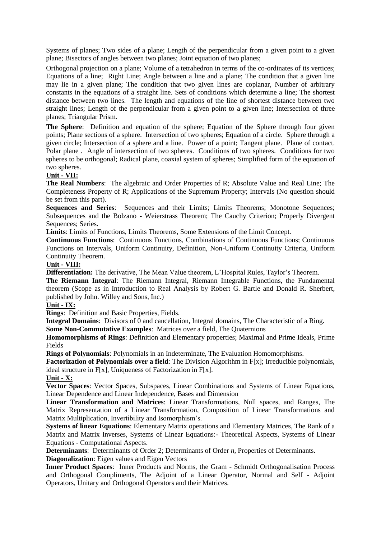Systems of planes; Two sides of a plane; Length of the perpendicular from a given point to a given plane; Bisectors of angles between two planes; Joint equation of two planes;

Orthogonal projection on a plane; Volume of a tetrahedron in terms of the co-ordinates of its vertices; Equations of a line; Right Line; Angle between a line and a plane; The condition that a given line may lie in a given plane; The condition that two given lines are coplanar, Number of arbitrary constants in the equations of a straight line. Sets of conditions which determine a line; The shortest distance between two lines. The length and equations of the line of shortest distance between two straight lines; Length of the perpendicular from a given point to a given line; Intersection of three planes; Triangular Prism.

**The Sphere**: Definition and equation of the sphere; Equation of the Sphere through four given points; Plane sections of a sphere. Intersection of two spheres; Equation of a circle. Sphere through a given circle; Intersection of a sphere and a line. Power of a point; Tangent plane. Plane of contact. Polar plane . Angle of intersection of two spheres. Conditions of two spheres. Conditions for two spheres to be orthogonal; Radical plane, coaxial system of spheres; Simplified form of the equation of two spheres.

#### **Unit - VII:**

**The Real Numbers**: The algebraic and Order Properties of R; Absolute Value and Real Line; The Completeness Property of R; Applications of the Supremum Property; Intervals (No question should be set from this part).

**Sequences and Series**: Sequences and their Limits; Limits Theorems; Monotone Sequences; Subsequences and the Bolzano - Weierstrass Theorem; The Cauchy Criterion; Properly Divergent Sequences: Series.

**Limits**: Limits of Functions, Limits Theorems, Some Extensions of the Limit Concept.

**Continuous Functions**: Continuous Functions, Combinations of Continuous Functions; Continuous Functions on Intervals, Uniform Continuity, Definition, Non-Uniform Continuity Criteria, Uniform Continuity Theorem.

#### **Unit - VIII:**

**Differentiation:** The derivative, The Mean Value theorem, L'Hospital Rules, Taylor's Theorem.

**The Riemann Integral**: The Riemann Integral, Riemann Integrable Functions, the Fundamental theorem (Scope as in Introduction to Real Analysis by Robert G. Bartle and Donald R. Sherbert, published by John. Willey and Sons, Inc.)

#### **Unit - IX:**

**Rings**: Definition and Basic Properties, Fields.

**Integral Domains**: Divisors of 0 and cancellation, Integral domains, The Characteristic of a Ring.

**Some Non-Commutative Examples**: Matrices over a field, The Quaternions

**Homomorphisms of Rings**: Definition and Elementary properties; Maximal and Prime Ideals, Prime Fields

**Rings of Polynomials**: Polynomials in an Indeterminate, The Evaluation Homomorphisms.

**Factorization of Polynomials over a field**: The Division Algorithm in F[x]; Irreducible polynomials, ideal structure in F[x], Uniqueness of Factorization in F[x].

#### **Unit - X:**

**Vector Spaces**: Vector Spaces, Subspaces, Linear Combinations and Systems of Linear Equations, Linear Dependence and Linear Independence, Bases and Dimension

**Linear Transformation and Matrices**: Linear Transformations, Null spaces, and Ranges, The Matrix Representation of a Linear Transformation, Composition of Linear Transformations and Matrix Multiplication, Invertibility and Isomorphism's.

**Systems of linear Equations**: Elementary Matrix operations and Elementary Matrices, The Rank of a Matrix and Matrix Inverses, Systems of Linear Equations:- Theoretical Aspects, Systems of Linear Equations - Computational Aspects.

**Determinants**: Determinants of Order 2; Determinants of Order *n*, Properties of Determinants.

**Diagonalization**: Eigen values and Eigen Vectors

**Inner Product Spaces**: Inner Products and Norms, the Gram - Schmidt Orthogonalisation Process and Orthogonal Compliments, The Adjoint of a Linear Operator, Normal and Self - Adjoint Operators, Unitary and Orthogonal Operators and their Matrices.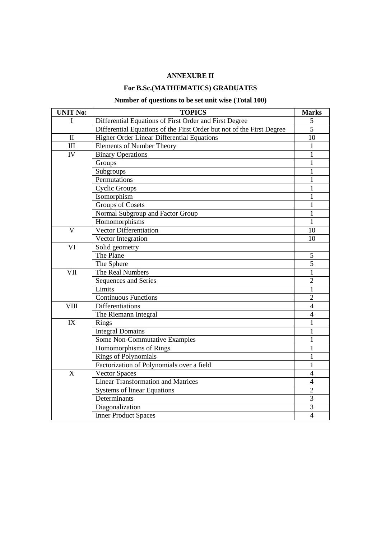## **ANNEXURE II**

## **For B.Sc.(MATHEMATICS) GRADUATES**

# **Number of questions to be set unit wise (Total 100)**

| <b>UNIT No:</b> | <b>TOPICS</b>                                                         | <b>Marks</b>   |
|-----------------|-----------------------------------------------------------------------|----------------|
| Ι               | Differential Equations of First Order and First Degree                | 5              |
|                 | Differential Equations of the First Order but not of the First Degree | $\overline{5}$ |
| $\mathbf{I}$    | Higher Order Linear Differential Equations                            | 10             |
| III             | <b>Elements of Number Theory</b>                                      |                |
| IV              | <b>Binary Operations</b>                                              |                |
|                 | Groups                                                                |                |
|                 | Subgroups                                                             | 1              |
|                 | Permutations                                                          | 1              |
|                 | <b>Cyclic Groups</b>                                                  | 1              |
|                 | Isomorphism                                                           | 1              |
|                 | <b>Groups of Cosets</b>                                               | 1              |
|                 | Normal Subgroup and Factor Group                                      | 1              |
|                 | Homomorphisms                                                         | 1              |
| $\mathbf{V}$    | <b>Vector Differentiation</b>                                         | 10             |
|                 | Vector Integration                                                    | 10             |
| VI              | Solid geometry                                                        |                |
|                 | The Plane                                                             | 5              |
|                 | The Sphere                                                            | $\overline{5}$ |
| VII             | The Real Numbers                                                      | 1              |
|                 | Sequences and Series                                                  | $\overline{2}$ |
|                 | Limits                                                                | $\mathbf{1}$   |
|                 | <b>Continuous Functions</b>                                           | $\overline{2}$ |
| <b>VIII</b>     | Differentiations                                                      | $\overline{4}$ |
|                 | The Riemann Integral                                                  | $\overline{4}$ |
| IX              | Rings                                                                 | 1              |
|                 | <b>Integral Domains</b>                                               | 1              |
|                 | Some Non-Commutative Examples                                         | 1              |
|                 | Homomorphisms of Rings                                                | 1              |
|                 | <b>Rings of Polynomials</b>                                           | 1              |
|                 | Factorization of Polynomials over a field                             | 1              |
| X               | <b>Vector Spaces</b>                                                  | 4              |
|                 | <b>Linear Transformation and Matrices</b>                             | $\overline{4}$ |
|                 | Systems of linear Equations                                           | $\overline{2}$ |
|                 | Determinants                                                          | 3              |
|                 | Diagonalization                                                       | 3              |
|                 | <b>Inner Product Spaces</b>                                           | $\overline{4}$ |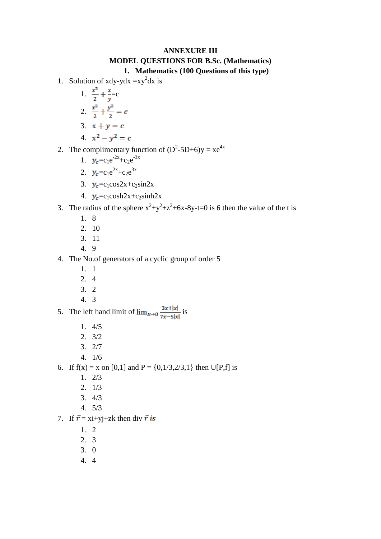## **ANNEXURE III MODEL QUESTIONS FOR B.Sc. (Mathematics) 1. Mathematics (100 Questions of this type)**

- 1. Solution of xdy-ydx = $xy^2dx$  is
	- 1.  $\frac{x^2}{2} + \frac{x}{y} = c$
	- 2.  $\frac{x^2}{2} + \frac{y^2}{2} = c$
	- 3.  $x + y = c$
	- 4.  $x^2 y^2 = c$
- 2. The complimentary function of  $(D^2{\text -}5D+6)y = xe^{4x}$ 
	- 1.  $y_c = c_1 e^{-2x} + c_2 e^{-3x}$
	- 2.  $y_c = c_1 e^{2x} + c_2 e^{3x}$
	- 3.  $y_c = c_1 \cos 2x + c_2 \sin 2x$
	- 4.  $y_c = c_1 \cosh 2x + c_2 \sinh 2x$
- 3. The radius of the sphere  $x^2+y^2+z^2+6x-8y-t=0$  is 6 then the value of the t is
	- 1. 8
	- 2. 10
	- 3. 11
	- 4. 9
- 4. The No.of generators of a cyclic group of order 5
	- 1. 1
	- 2. 4
	- 3. 2
	- 4. 3
- 5. The left hand limit of  $\lim_{x\to 0} \frac{3x+|x|}{7x-5|x|}$  is
	- 1. 4/5
	- 2. 3/2
	- 3. 2/7
	- 4. 1/6
- 6. If  $f(x) = x$  on [0,1] and  $P = \{0, 1/3, 2/3, 1\}$  then U[P,f] is
	- 1. 2/3
	- 2. 1/3
	- 3. 4/3
	- 4. 5/3
- 7. If  $\bar{r} = x\mathrm{i}+y\mathrm{j}+z\mathrm{k}$  then div  $\bar{r}$  is
	- 1. 2
	- 2. 3
	- 3. 0
	- 4. 4